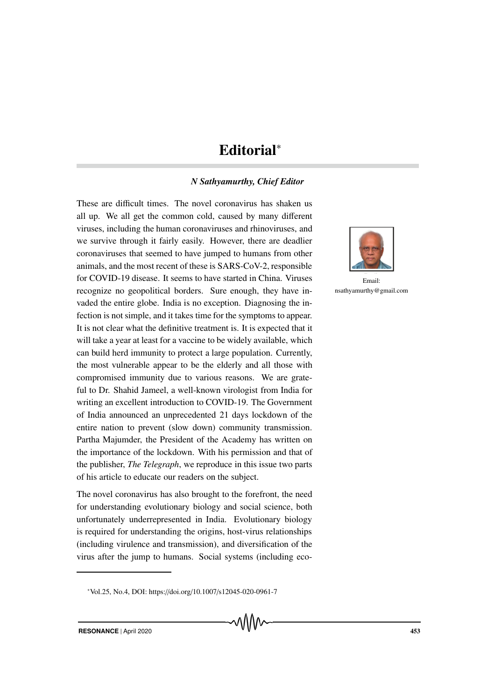## Editorial<sup>∗</sup>

## *N Sathyamurthy, Chief Editor*

These are difficult times. The novel coronavirus has shaken us all up. We all get the common cold, caused by many different viruses, including the human coronaviruses and rhinoviruses, and we survive through it fairly easily. However, there are deadlier coronaviruses that seemed to have jumped to humans from other animals, and the most recent of these is SARS-CoV-2, responsible for COVID-19 disease. It seems to have started in China. Viruses recognize no geopolitical borders. Sure enough, they have invaded the entire globe. India is no exception. Diagnosing the infection is not simple, and it takes time for the symptoms to appear. It is not clear what the definitive treatment is. It is expected that it will take a year at least for a vaccine to be widely available, which can build herd immunity to protect a large population. Currently, the most vulnerable appear to be the elderly and all those with compromised immunity due to various reasons. We are grateful to Dr. Shahid Jameel, a well-known virologist from India for writing an excellent introduction to COVID-19. The Government of India announced an unprecedented 21 days lockdown of the entire nation to prevent (slow down) community transmission. Partha Majumder, the President of the Academy has written on the importance of the lockdown. With his permission and that of the publisher, *The Telegraph*, we reproduce in this issue two parts of his article to educate our readers on the subject.

The novel coronavirus has also brought to the forefront, the need for understanding evolutionary biology and social science, both unfortunately underrepresented in India. Evolutionary biology is required for understanding the origins, host-virus relationships (including virulence and transmission), and diversification of the virus after the jump to humans. Social systems (including eco-



Email: nsathyamurthy@gmail.com

<sup>∗</sup>Vol.25, No.4, DOI: https://doi.org/10.1007/s12045-020-0961-7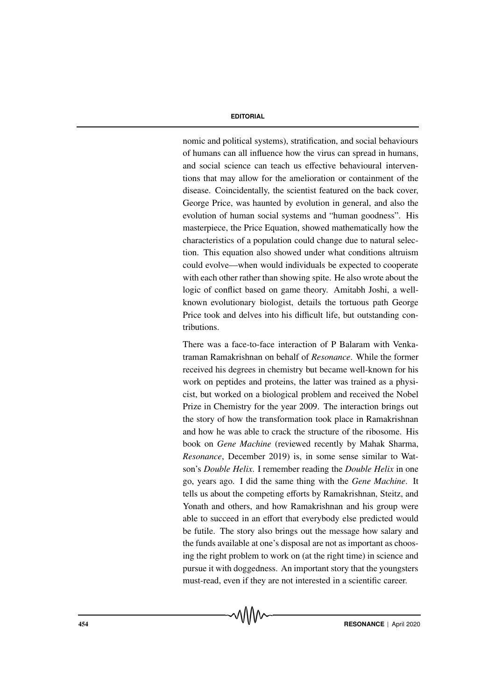## **EDITORIAL**

nomic and political systems), stratification, and social behaviours of humans can all influence how the virus can spread in humans, and social science can teach us effective behavioural interventions that may allow for the amelioration or containment of the disease. Coincidentally, the scientist featured on the back cover, George Price, was haunted by evolution in general, and also the evolution of human social systems and "human goodness". His masterpiece, the Price Equation, showed mathematically how the characteristics of a population could change due to natural selection. This equation also showed under what conditions altruism could evolve—when would individuals be expected to cooperate with each other rather than showing spite. He also wrote about the logic of conflict based on game theory. Amitabh Joshi, a wellknown evolutionary biologist, details the tortuous path George Price took and delves into his difficult life, but outstanding contributions.

There was a face-to-face interaction of P Balaram with Venkatraman Ramakrishnan on behalf of *Resonance*. While the former received his degrees in chemistry but became well-known for his work on peptides and proteins, the latter was trained as a physicist, but worked on a biological problem and received the Nobel Prize in Chemistry for the year 2009. The interaction brings out the story of how the transformation took place in Ramakrishnan and how he was able to crack the structure of the ribosome. His book on *Gene Machine* (reviewed recently by Mahak Sharma, *Resonance*, December 2019) is, in some sense similar to Watson's *Double Helix*. I remember reading the *Double Helix* in one go, years ago. I did the same thing with the *Gene Machine*. It tells us about the competing efforts by Ramakrishnan, Steitz, and Yonath and others, and how Ramakrishnan and his group were able to succeed in an effort that everybody else predicted would be futile. The story also brings out the message how salary and the funds available at one's disposal are not as important as choosing the right problem to work on (at the right time) in science and pursue it with doggedness. An important story that the youngsters must-read, even if they are not interested in a scientific career.